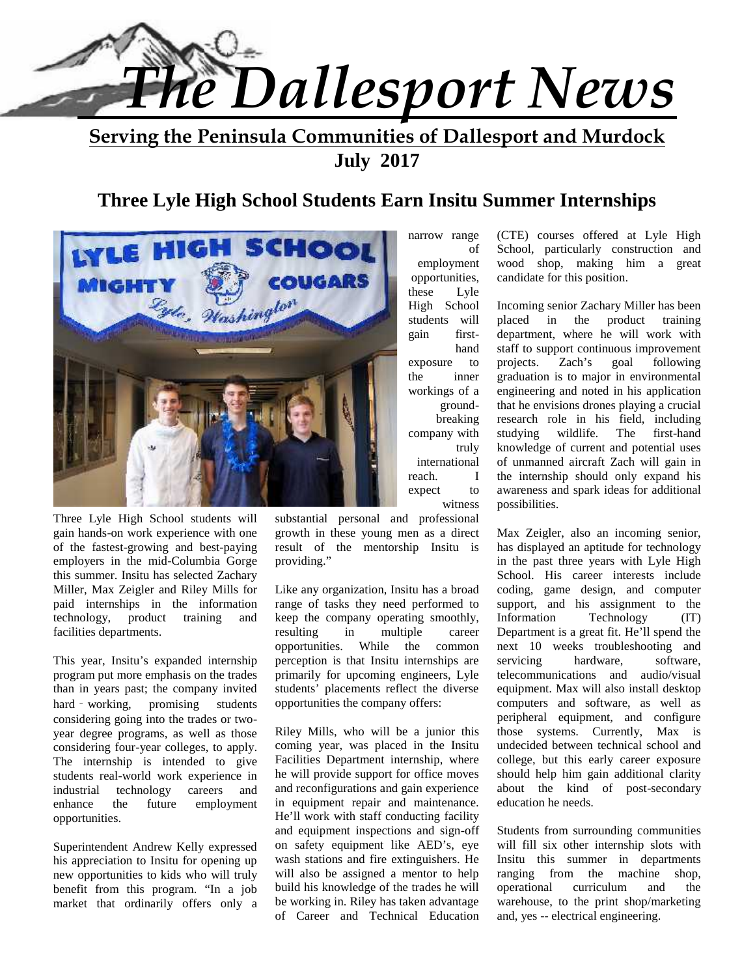

# **Serving the Peninsula Communities of Dallesport and Murdock July 2017**

# **Three Lyle High School Students Earn Insitu Summer Internships**



Three Lyle High School students will gain hands-on work experience with one of the fastest-growing and best-paying employers in the mid-Columbia Gorge this summer. Insitu has selected Zachary Miller, Max Zeigler and Riley Mills for paid internships in the information technology, product training and facilities departments.

This year, Insitu's expanded internship program put more emphasis on the trades than in years past; the company invited hard - working, promising students considering going into the trades or two year degree programs, as well as those considering four-year colleges, to apply. The internship is intended to give students real-world work experience in<br>industrial technology careers and technology careers and enhance the future employment opportunities.

Superintendent Andrew Kelly expressed his appreciation to Insitu for opening up new opportunities to kids who will truly benefit from this program. "In a job market that ordinarily offers only a substantial personal and professional growth in these young men as a direct result of the mentorship Insitu is providing."

Like any organization, Insitu has a broad range of tasks they need performed to keep the company operating smoothly, resulting in multiple career opportunities. While the common perception is that Insitu internships are primarily for upcoming engineers, Lyle students' placements reflect the diverse opportunities the company offers:

Riley Mills, who will be a junior this coming year, was placed in the Insitu Facilities Department internship, where he will provide support for office moves and reconfigurations and gain experience in equipment repair and maintenance. He'll work with staff conducting facility and equipment inspections and sign-off on safety equipment like AED's, eye wash stations and fire extinguishers. He will also be assigned a mentor to help build his knowledge of the trades he will be working in. Riley has taken advantage of Career and Technical Education

narrow range employment opportunities, these Lyle High School students will placed in gain first exposure to projects. the inner workings of a ground breaking company with studying international reach. I expect to witness

of School, particularly construction and (CTE) courses offered at Lyle High wood shop, making him a great candidate for this position.

hand staff to support continuous improvement truly knowledge of current and potential uses Incoming senior Zachary Miller has been the product training department, where he will work with Zach's goal following graduation is to major in environmental engineering and noted in his application that he envisions drones playing a crucial research role in his field, including wildlife. The first-hand of unmanned aircraft Zach will gain in the internship should only expand his awareness and spark ideas for additional possibilities.

> Max Zeigler, also an incoming senior, has displayed an aptitude for technology in the past three years with Lyle High School. His career interests include coding, game design, and computer support, and his assignment to the Technology (IT) Department is a great fit. He'll spend the next 10 weeks troubleshooting and hardware, software, telecommunications and audio/visual equipment. Max will also install desktop computers and software, as well as peripheral equipment, and configure those systems. Currently, Max is undecided between technical school and college, but this early career exposure should help him gain additional clarity about the kind of post-secondary education he needs.

Students from surrounding communities will fill six other internship slots with Insitu this summer in departments ranging from the machine shop, operational curriculum and the warehouse, to the print shop/marketing and, yes -- electrical engineering.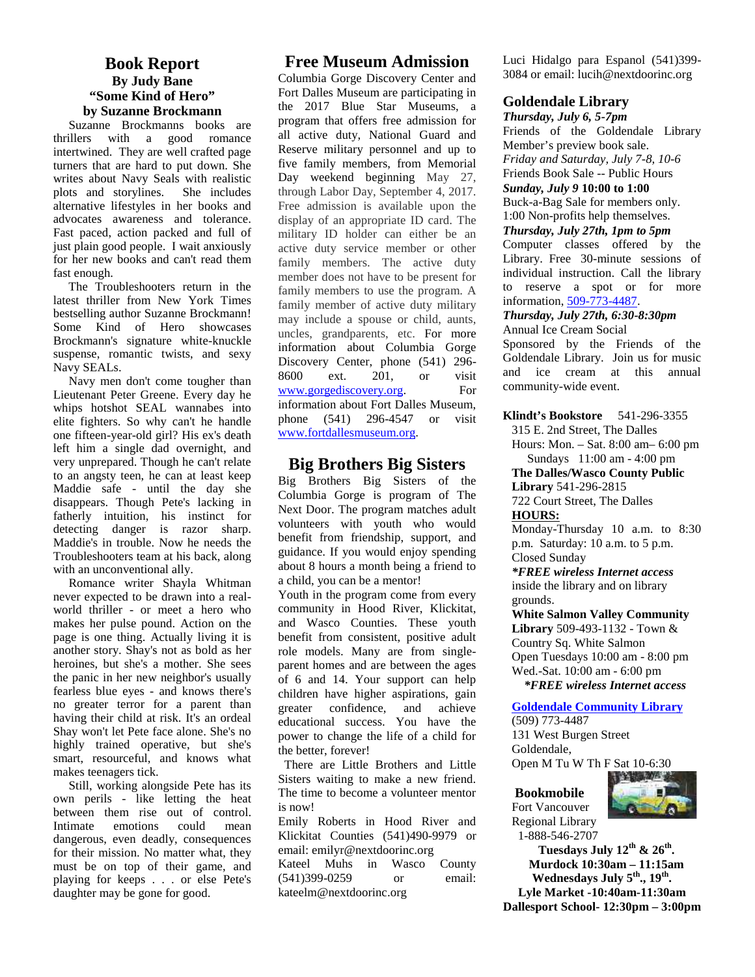#### **Book Report By Judy Bane "Some Kind of Hero" by Suzanne Brockmann**

 Suzanne Brockmanns books are thrillers with a good romance intertwined. They are well crafted page turners that are hard to put down. She writes about Navy Seals with realistic plots and storylines. She includes alternative lifestyles in her books and advocates awareness and tolerance. Fast paced, action packed and full of just plain good people. I wait anxiously for her new books and can't read them fast enough.

 The Troubleshooters return in the latest thriller from New York Times bestselling author Suzanne Brockmann! Some Kind of Hero showcases Brockmann's signature white-knuckle suspense, romantic twists, and sexy Navy SEALs.

Navy men don't come tougher than 8600 Lieutenant Peter Greene. Every day he whips hotshot SEAL wannabes into elite fighters. So why can't he handle one fifteen-year-old girl? His ex's death left him a single dad overnight, and very unprepared. Though he can't relate to an angsty teen, he can at least keep Maddie safe - until the day she disappears. Though Pete's lacking in fatherly intuition, his instinct for detecting danger is razor sharp. Maddie's in trouble. Now he needs the Troubleshooters team at his back, along with an unconventional ally.

 Romance writer Shayla Whitman never expected to be drawn into a real world thriller - or meet a hero who makes her pulse pound. Action on the page is one thing. Actually living it is another story. Shay's not as bold as her heroines, but she's a mother. She sees the panic in her new neighbor's usually fearless blue eyes - and knows there's no greater terror for a parent than having their child at risk. It's an ordeal Shay won't let Pete face alone. She's no highly trained operative, but she's smart, resourceful, and knows what makes teenagers tick.

 Still, working alongside Pete has its own perils - like letting the heat between them rise out of control. Intimate emotions could mean dangerous, even deadly, consequences for their mission. No matter what, they must be on top of their game, and playing for keeps . . . or else Pete's daughter may be gone for good.

#### **Free Museum Admission**

Columbia Gorge Discovery Center and Fort Dalles Museum are participating in the 2017 Blue Star Museums, a program that offers free admission for all active duty, National Guard and Reserve military personnel and up to five family members, from Memorial Day weekend beginning May 27, through Labor Day, September 4, 2017. Free admission is available upon the display of an appropriate ID card. The military ID holder can either be an active duty service member or other family members. The active duty member does not have to be present for family members to use the program. A family member of active duty military may include a spouse or child, aunts, uncles, grandparents, etc. For more information about Columbia Gorge Discovery Center, phone (541) 296- 8600 ext. 201, or visit www.gorgediscovery.org. For information about Fort Dalles Museum, phone (541) 296-4547 or visit www.fortdallesmuseum.org.

#### **Big Brothers Big Sisters**

Big Brothers Big Sisters of the Columbia Gorge is program of The Next Door. The program matches adult volunteers with youth who would benefit from friendship, support, and guidance. If you would enjoy spending about 8 hours a month being a friend to a child, you can be a mentor!

Youth in the program come from every community in Hood River, Klickitat, and Wasco Counties. These youth benefit from consistent, positive adult role models. Many are from single parent homes and are between the ages of 6 and 14. Your support can help children have higher aspirations, gain greater confidence, and achieve educational success. You have the power to change the life of a child for the better, forever!

There are Little Brothers and Little Sisters waiting to make a new friend. The time to become a volunteer mentor is now!

Emily Roberts in Hood River and Klickitat Counties (541)490-9979 or email: emilyr@nextdoorinc.org Kateel Muhs in Wasco County (541)399-0259 or email: kateelm@nextdoorinc.org

Luci Hidalgo para Espanol (541)399- 3084 or email: lucih@nextdoorinc.org

#### **Goldendale Library**

*Thursday, July 6, 5-7pm* Friends of the Goldendale Library Member's preview book sale. *Friday and Saturday, July 7-8, 10-6* Friends Book Sale -- Public Hours *Sunday, July 9* **10:00 to 1:00** Buck-a-Bag Sale for members only. 1:00 Non-profits help themselves.

*Thursday, July 27th, 1pm to 5pm*

Computer classes offered by the Library. Free 30-minute sessions of individual instruction. Call the library to reserve a spot or for more information, 509-773-4487.

#### *Thursday, July 27th, 6:30-8:30pm*

Annual Ice Cream Social Sponsored by the Friends of the Goldendale Library. Join us for music and ice cream at this annual community-wide event.

#### **Klindt's Bookstore** 541-296-3355

315 E. 2nd Street, The Dalles Hours: Mon. – Sat. 8:00 am– 6:00 pm Sundays 11:00 am - 4:00 pm

**The Dalles/Wasco County Public**

**Library** 541-296-2815 722 Court Street, The Dalles **HOURS:**

Monday-Thursday 10 a.m. to 8:30 p.m. Saturday: 10 a.m. to 5 p.m. Closed Sunday

*\*FREE wireless Internet access* inside the library and on library grounds.

**White Salmon Valley Community Library** 509-493-1132 - Town & Country Sq. White Salmon Open Tuesdays 10:00 am - 8:00 pm Wed.-Sat. 10:00 am - 6:00 pm  *\*FREE wireless Internet access*

**Goldendale Community Library**

(509) 773-4487 131 West Burgen Street Goldendale,

Open M Tu W Th F Sat 10-6:30



#### **Bookmobile** Fort Vancouver

Regional Library 1-888-546-2707

**Tuesdays July 12th & 26th . Murdock 10:30am – 11:15am Wednesdays July 5th., 19th . Lyle Market -10:40am-11:30am Dallesport School- 12:30pm – 3:00pm**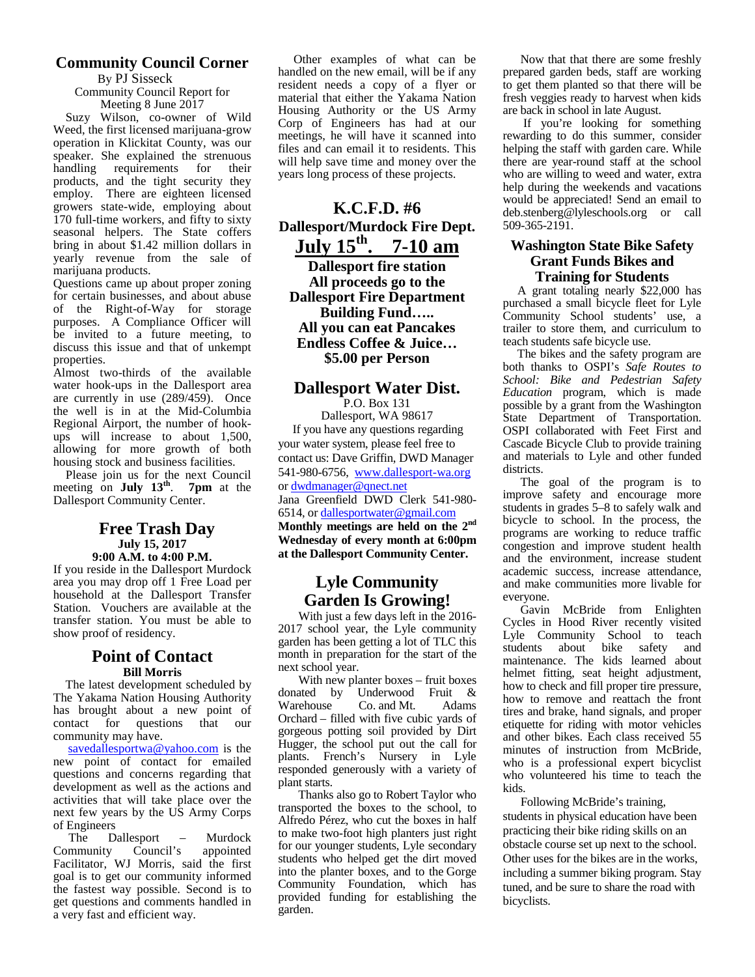# **Community Council Corner**

By PJ Sisseck Community Council Report for

Meeting 8 June 2017

Suzy Wilson, co-owner of Wild Weed, the first licensed marijuana-grow operation in Klickitat County, was our speaker. She explained the strenuous handling requirements for their products, and the tight security they employ. There are eighteen licensed growers state-wide, employing about 170 full-time workers, and fifty to sixty seasonal helpers. The State coffers bring in about \$1.42 million dollars in yearly revenue from the sale of marijuana products.

Questions came up about proper zoning for certain businesses, and about abuse of the Right-of-Way for storage purposes. A Compliance Officer will be invited to a future meeting, to discuss this issue and that of unkempt properties.

Almost two-thirds of the available water hook-ups in the Dallesport area are currently in use (289/459). Once the well is in at the Mid-Columbia Regional Airport, the number of hook ups will increase to about 1,500, allowing for more growth of both housing stock and business facilities.

 Please join us for the next Council meeting on **July 13th** . **7pm** at the Dallesport Community Center.

#### **Free Trash Day July 15, 2017 9:00 A.M. to 4:00 P.M.**

If you reside in the Dallesport Murdock area you may drop off 1 Free Load per household at the Dallesport Transfer Station. Vouchers are available at the transfer station. You must be able to show proof of residency.

#### **Point of Contact Bill Morris**

The latest development scheduled by With new<br>solve Voltame Nation Housing Authority donated by The Yakama Nation Housing Authority<br>has brought about a now point of Warehouse has brought about a new point of contact for questions that our community may have.

savedallesportwa@yahoo.com is the new point of contact for emailed questions and concerns regarding that development as well as the actions and activities that will take place over the next few years by the US Army Corps of Engineers

Dallesport – Murdock<br>v Council's appointed Community Council's appointed Facilitator, WJ Morris, said the first goal is to get our community informed the fastest way possible. Second is to get questions and comments handled in a very fast and efficient way.

 Other examples of what can be handled on the new email, will be if any resident needs a copy of a flyer or material that either the Yakama Nation Housing Authority or the US Army Corp of Engineers has had at our meetings, he will have it scanned into files and can email it to residents. This will help save time and money over the years long process of these projects.

# **K.C.F.D. #6 Dallesport/Murdock Fire Dept. July 15th . 7-10 am**

**Dallesport fire station All proceeds go to the Dallesport Fire Department Building Fund….. All you can eat Pancakes Endless Coffee & Juice… \$5.00 per Person**

# **Dallesport Water Dist.**

P.O. Box 131

Dallesport, WA 98617 If you have any questions regarding your water system, please feel free to contact us: Dave Griffin, DWD Manager 541-980-6756, www.dallesport-wa.org or dwdmanager@qnect.net Jana Greenfield DWD Clerk 541-980- 6514, or dallesportwater@gmail.com **Monthly meetings are held on the 2nd Wednesday of every month at 6:00pm at the Dallesport Community Center.**

### **Lyle Community Garden Is Growing!**

With just a few days left in the 2016- 2017 school year, the Lyle community garden has been getting a lot of TLC this month in preparation for the start of the next school year.

With new planter boxes – fruit boxes Underwood Fruit & Co. and Mt. Adams Orchard – filled with five cubic yards of gorgeous potting soil provided by Dirt Hugger, the school put out the call for plants. French's Nursery in Lyle responded generously with a variety of plant starts.

Thanks also go to Robert Taylor who transported the boxes to the school, to Alfredo Pérez, who cut the boxes in half to make two-foot high planters just right for our younger students, Lyle secondary students who helped get the dirt moved into the planter boxes, and to the Gorge Community Foundation, which has provided funding for establishing the garden.

Now that that there are some freshly prepared garden beds, staff are working to get them planted so that there will be fresh veggies ready to harvest when kids are back in school in late August.

If you're looking for something rewarding to do this summer, consider helping the staff with garden care. While there are year-round staff at the school who are willing to weed and water, extra help during the weekends and vacations would be appreciated! Send an email to deb.stenberg@lyleschools.org or call 509-365-2191.

#### **Washington State Bike Safety Grant Funds Bikes and Training for Students**

A grant totaling nearly \$22,000 has purchased a small bicycle fleet for Lyle Community School students' use, a trailer to store them, and curriculum to teach students safe bicycle use.

The bikes and the safety program are both thanks to OSPI's *Safe Routes to School: Bike and Pedestrian Safety Education* program, which is made possible by a grant from the Washington State Department of Transportation. OSPI collaborated with Feet First and Cascade Bicycle Club to provide training and materials to Lyle and other funded districts.

The goal of the program is to improve safety and encourage more students in grades 5–8 to safely walk and bicycle to school. In the process, the programs are working to reduce traffic congestion and improve student health and the environment, increase student academic success, increase attendance, and make communities more livable for everyone.

Gavin McBride from Enlighten Cycles in Hood River recently visited Lyle Community School to teach students about bike safety and maintenance. The kids learned about helmet fitting, seat height adjustment, how to check and fill proper tire pressure, how to remove and reattach the front tires and brake, hand signals, and proper etiquette for riding with motor vehicles and other bikes. Each class received 55 minutes of instruction from McBride, who is a professional expert bicyclist who volunteered his time to teach the kids.

Following McBride's training, students in physical education have been practicing their bike riding skills on an obstacle course set up next to the school. Other uses for the bikes are in the works, including a summer biking program. Stay tuned, and be sure to share the road with bicyclists.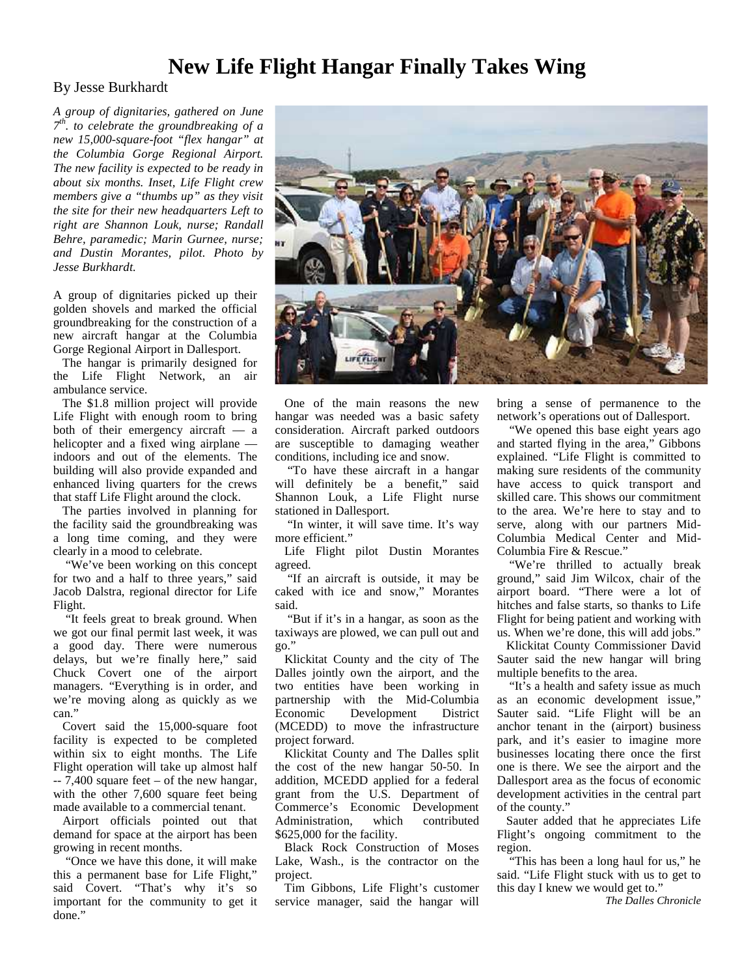# **New Life Flight Hangar Finally Takes Wing**

#### By Jesse Burkhardt

*A group of dignitaries, gathered on June 7 th . to celebrate the groundbreaking of a new 15,000-square-foot "flex hangar" at the Columbia Gorge Regional Airport. The new facility is expected to be ready in about six months. Inset, Life Flight crew members give a "thumbs up" as they visit the site for their new headquarters Left to right are Shannon Louk, nurse; Randall Behre, paramedic; Marin Gurnee, nurse; and Dustin Morantes, pilot. Photo by Jesse Burkhardt.*

A group of dignitaries picked up their golden shovels and marked the official groundbreaking for the construction of a new aircraft hangar at the Columbia Gorge Regional Airport in Dallesport.

The hangar is primarily designed for the Life Flight Network, an air ambulance service.

The \$1.8 million project will provide Life Flight with enough room to bring both of their emergency aircraft — a helicopter and a fixed wing airplane indoors and out of the elements. The building will also provide expanded and enhanced living quarters for the crews that staff Life Flight around the clock.

The parties involved in planning for the facility said the groundbreaking was a long time coming, and they were clearly in a mood to celebrate.

"We've been working on this concept for two and a half to three years," said Jacob Dalstra, regional director for Life Flight.

"It feels great to break ground. When we got our final permit last week, it was a good day. There were numerous delays, but we're finally here," said Chuck Covert one of the airport managers. "Everything is in order, and we're moving along as quickly as we can."

Covert said the 15,000-square foot facility is expected to be completed within six to eight months. The Life Flight operation will take up almost half  $-7,400$  square feet – of the new hangar, with the other 7,600 square feet being made available to a commercial tenant.

Airport officials pointed out that demand for space at the airport has been growing in recent months.

 "Once we have this done, it will make this a permanent base for Life Flight," said Covert. "That's why it's so important for the community to get it done."



One of the main reasons the new hangar was needed was a basic safety consideration. Aircraft parked outdoors are susceptible to damaging weather conditions, including ice and snow.

"To have these aircraft in a hangar will definitely be a benefit," said Shannon Louk, a Life Flight nurse stationed in Dallesport.

 "In winter, it will save time. It's way more efficient."

Life Flight pilot Dustin Morantes agreed.

"If an aircraft is outside, it may be caked with ice and snow," Morantes said.

 "But if it's in a hangar, as soon as the taxiways are plowed, we can pull out and go."

Klickitat County and the city of The Dalles jointly own the airport, and the two entities have been working in partnership with the Mid-Columbia Economic Development District (MCEDD) to move the infrastructure project forward.

Klickitat County and The Dalles split the cost of the new hangar 50-50. In addition, MCEDD applied for a federal grant from the U.S. Department of Commerce's Economic Development Administration, which contributed \$625,000 for the facility.

Black Rock Construction of Moses Lake, Wash., is the contractor on the project.

Tim Gibbons, Life Flight's customer service manager, said the hangar will

bring a sense of permanence to the network's operations out of Dallesport.

 "We opened this base eight years ago and started flying in the area," Gibbons explained. "Life Flight is committed to making sure residents of the community have access to quick transport and skilled care. This shows our commitment to the area. We're here to stay and to serve, along with our partners Mid- Columbia Medical Center and Mid- Columbia Fire & Rescue."

 "We're thrilled to actually break ground," said Jim Wilcox, chair of the airport board. "There were a lot of hitches and false starts, so thanks to Life Flight for being patient and working with us. When we're done, this will add jobs."

Klickitat County Commissioner David Sauter said the new hangar will bring multiple benefits to the area.

 "It's a health and safety issue as much as an economic development issue," Sauter said. "Life Flight will be an anchor tenant in the (airport) business park, and it's easier to imagine more businesses locating there once the first one is there. We see the airport and the Dallesport area as the focus of economic development activities in the central part of the county."

Sauter added that he appreciates Life Flight's ongoing commitment to the region.

 "This has been a long haul for us," he said. "Life Flight stuck with us to get to this day I knew we would get to."

*The Dalles Chronicle*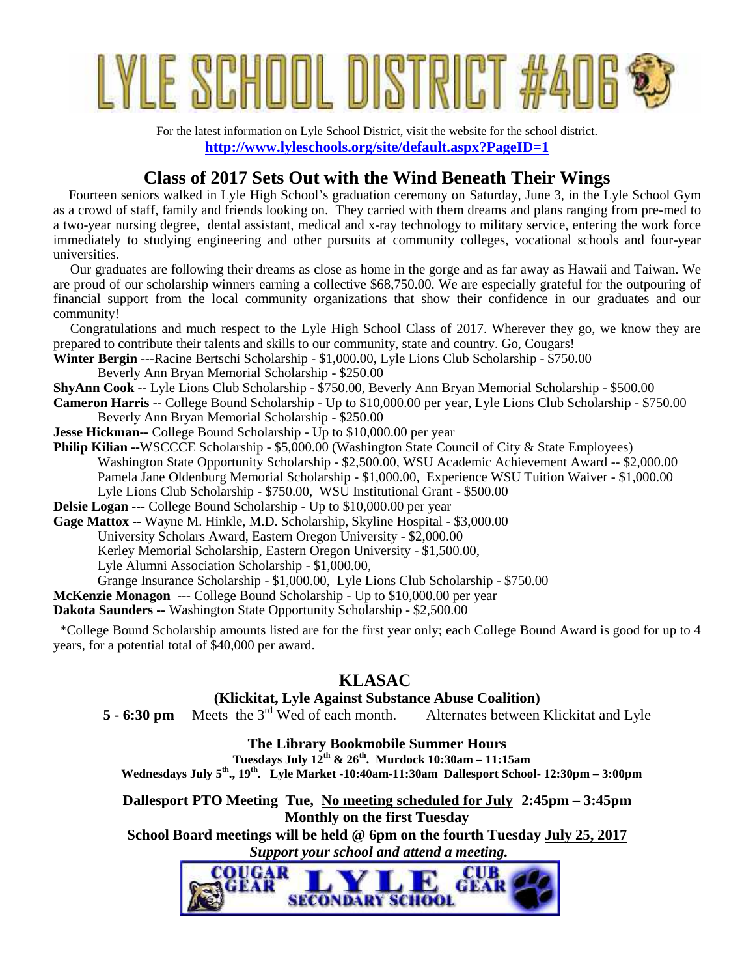# LE SCHOOL DISTRICT

For the latest information on Lyle School District, visit the website for the school district. **http://www.lyleschools.org/site/default.aspx?PageID=1**

# **Class of 2017 Sets Out with the Wind Beneath Their Wings**

Fourteen seniors walked in Lyle High School's graduation ceremony on Saturday, June 3, in the Lyle School Gym as a crowd of staff, family and friends looking on. They carried with them dreams and plans ranging from pre-med to a two-year nursing degree, dental assistant, medical and x-ray technology to military service, entering the work force immediately to studying engineering and other pursuits at community colleges, vocational schools and four-year universities.

 Our graduates are following their dreams as close as home in the gorge and as far away as Hawaii and Taiwan. We are proud of our scholarship winners earning a collective \$68,750.00. We are especially grateful for the outpouring of financial support from the local community organizations that show their confidence in our graduates and our community!

 Congratulations and much respect to the Lyle High School Class of 2017. Wherever they go, we know they are prepared to contribute their talents and skills to our community, state and country. Go, Cougars!

**Winter Bergin ---**Racine Bertschi Scholarship - \$1,000.00, Lyle Lions Club Scholarship - \$750.00

Beverly Ann Bryan Memorial Scholarship - \$250.00

**ShyAnn Cook --** Lyle Lions Club Scholarship - \$750.00, Beverly Ann Bryan Memorial Scholarship - \$500.00

**Cameron Harris --** College Bound Scholarship - Up to \$10,000.00 per year, Lyle Lions Club Scholarship - \$750.00 Beverly Ann Bryan Memorial Scholarship - \$250.00

- **Jesse Hickman--** College Bound Scholarship Up to \$10,000.00 per year
- **Philip Kilian --WSCCCE Scholarship \$5,000.00 (Washington State Council of City & State Employees)** Washington State Opportunity Scholarship - \$2,500.00, WSU Academic Achievement Award -- \$2,000.00 Pamela Jane Oldenburg Memorial Scholarship - \$1,000.00, Experience WSU Tuition Waiver - \$1,000.00 Lyle Lions Club Scholarship - \$750.00, WSU Institutional Grant - \$500.00

**Delsie Logan ---** College Bound Scholarship - Up to \$10,000.00 per year

**Gage Mattox --** Wayne M. Hinkle, M.D. Scholarship, Skyline Hospital - \$3,000.00 University Scholars Award, Eastern Oregon University - \$2,000.00 Kerley Memorial Scholarship, Eastern Oregon University - \$1,500.00, Lyle Alumni Association Scholarship - \$1,000.00, Grange Insurance Scholarship - \$1,000.00, Lyle Lions Club Scholarship - \$750.00 **McKenzie Monagon ---** College Bound Scholarship - Up to \$10,000.00 per year

**Dakota Saunders --** Washington State Opportunity Scholarship - \$2,500.00

 \*College Bound Scholarship amounts listed are for the first year only; each College Bound Award is good for up to 4 years, for a potential total of \$40,000 per award.

# **KLASAC**

# **(Klickitat, Lyle Against Substance Abuse Coalition)**<br>Meets the 3<sup>rd</sup> Wed of each month. Alternates between

**5 - 6:30 pm** Meets the 3<sup>rd</sup> Wed of each month. Alternates between Klickitat and Lyle

**The Library Bookmobile Summer Hours**

**Tuesdays July 12th & 26th. Murdock 10:30am – 11:15am Wednesdays July 5th ., 19th. Lyle Market -10:40am-11:30am Dallesport School- 12:30pm – 3:00pm**

**Dallesport PTO Meeting Tue, No meeting scheduled for July 2:45pm – 3:45pm Monthly on the first Tuesday**

**School Board meetings will be held @ 6pm on the fourth Tuesday July 25, 2017**  *Support your school and attend a meeting.*

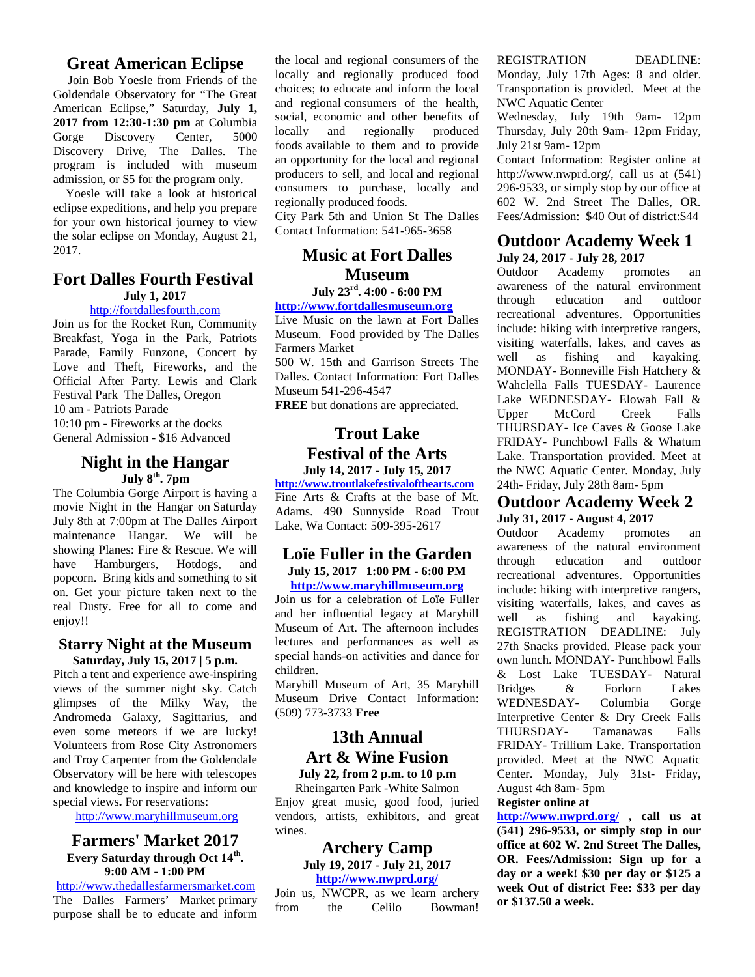#### **Great American Eclipse**

Join Bob Yoesle from Friends of the Goldendale Observatory for "The Great American Eclipse," Saturday, **July 1, 2017 from 12:30-1:30 pm** at Columbia<br>
Gorge Discovery Center, 5000 locally Gorge Discovery Center, 5000 Discovery Drive, The Dalles. The program is included with museum admission, or \$5 for the program only.

 Yoesle will take a look at historical eclipse expeditions, and help you prepare for your own historical journey to view the solar eclipse on Monday, August 21, 2017.

#### **Fort Dalles Fourth Festival July 1, 2017**

#### http://fortdallesfourth.com

Join us for the Rocket Run, Community Breakfast, Yoga in the Park, Patriots Parade, Family Funzone, Concert by Love and Theft, Fireworks, and the Official After Party. Lewis and Clark Festival Park The Dalles, Oregon 10 am - Patriots Parade 10:10 pm - Fireworks at the docks General Admission - \$16 Advanced

#### **Night in the Hangar July 8th. 7pm**

The Columbia Gorge Airport is having a movie Night in the Hangar on Saturday July 8th at 7:00pm at The Dalles Airport maintenance Hangar. We will be showing Planes: Fire & Rescue. We will have Hamburgers, Hotdogs, and popcorn. Bring kids and something to sit on. Get your picture taken next to the real Dusty. Free for all to come and enjoy!!

#### **Starry Night at the Museum Saturday, July 15, 2017 | 5 p.m.**

Pitch a tent and experience awe-inspiring views of the summer night sky. Catch glimpses of the Milky Way, the Andromeda Galaxy, Sagittarius, and even some meteors if we are lucky! Volunteers from Rose City Astronomers and Troy Carpenter from the Goldendale Observatory will be here with telescopes and knowledge to inspire and inform our special views**.** For reservations:

http://www.maryhillmuseum.org

#### **Farmers' Market 2017 Every Saturday through Oct 14th . 9:00 AM - 1:00 PM**

http://www.thedallesfarmersmarket.com The Dalles Farmers' Market primary from purpose shall be to educate and inform the purpose shall be to educate and inform

the local and regional consumers of the locally and regionally produced food choices; to educate and inform the local and regional consumers of the health, social, economic and other benefits of locally and regionally produced regionally produced foods available to them and to provide an opportunity for the local and regional producers to sell, and local and regional consumers to purchase, locally and regionally produced foods.

City Park 5th and Union St The Dalles Contact Information: 541-965-3658

# **Music at Fort Dalles** July 24, **Museum**

#### **July 23rd . 4:00 - 6:00 PM** http://www.fortdallesmuseum.org

Live Music on the lawn at Fort Dalles Museum. Food provided by The Dalles Farmers Market

500 W. 15th and Garrison Streets The well Dalles. Contact Information: Fort Dalles Museum 541-296-4547

**FREE** but donations are appreciated.

# **Trout Lake Festival of the Arts**

**July 14, 2017 - July 15, 2017**

**http://www.troutlakefestivalofthearts.com** Fine Arts & Crafts at the base of Mt. Adams. 490 Sunnyside Road Trout Lake, Wa Contact: 509-395-2617

#### **Loïe Fuller in the Garden July 15, 2017 1:00 PM - 6:00 PM http://www.maryhillmuseum.org**

Join us for a celebration of Loïe Fuller and her influential legacy at Maryhill well Museum of Art. The afternoon includes lectures and performances as well as special hands-on activities and dance for children.

Maryhill Museum of Art, 35 Maryhill Museum Drive Contact Information: (509) 773-3733 **Free**

#### **13th Annual Art & Wine Fusion July 22, from 2 p.m. to 10 p.m**

Rheingarten Park -White Salmon Enjoy great music, good food, juried vendors, artists, exhibitors, and great wines.

#### **Archery Camp July 19, 2017 - July 21, 2017**

**http://www.nwprd.org/**

Join us, NWCPR, as we learn archery Celilo Bowman! REGISTRATION DEADLINE: Monday, July 17th Ages: 8 and older. Transportation is provided. Meet at the NWC Aquatic Center

Wednesday, July 19th 9am- 12pm Thursday, July 20th 9am- 12pm Friday, July 21st 9am- 12pm

Contact Information: Register online at http://www.nwprd.org/, call us at (541) 296-9533, or simply stop by our office at 602 W. 2nd Street The Dalles, OR. Fees/Admission: \$40 Out of district:\$44

#### **Outdoor Academy Week 1 July 24, 2017 - July 28, 2017**

Academy promotes an awareness of the natural environment education and outdoor recreational adventures. Opportunities include: hiking with interpretive rangers, visiting waterfalls, lakes, and caves as as fishing and kayaking. MONDAY- Bonneville Fish Hatchery & Wahclella Falls TUESDAY- Laurence Lake WEDNESDAY- Elowah Fall & Upper McCord Creek Falls THURSDAY- Ice Caves & Goose Lake FRIDAY- Punchbowl Falls & Whatum Lake. Transportation provided. Meet at the NWC Aquatic Center. Monday, July 24th- Friday, July 28th 8am- 5pm

# **Outdoor Academy Week 2 July 31, 2017 - August 4, 2017**

promotes an awareness of the natural environment education and outdoor recreational adventures. Opportunities include: hiking with interpretive rangers, visiting waterfalls, lakes, and caves as as fishing and kayaking. REGISTRATION DEADLINE: July 27th Snacks provided. Please pack your own lunch. MONDAY- Punchbowl Falls & Lost Lake TUESDAY- Natural Bridges & Forlorn Lakes WEDNESDAY- Columbia Gorge Interpretive Center & Dry Creek Falls THURSDAY- Tamanawas Falls FRIDAY- Trillium Lake. Transportation provided. Meet at the NWC Aquatic Center. Monday, July 31st- Friday, August 4th 8am- 5pm

#### **Register online at**

**http://www.nwprd.org/ , call us at (541) 296-9533, or simply stop in our office at 602 W. 2nd Street The Dalles, OR. Fees/Admission: Sign up for a day or a week! \$30 per day or \$125 a week Out of district Fee: \$33 per day or \$137.50 a week.**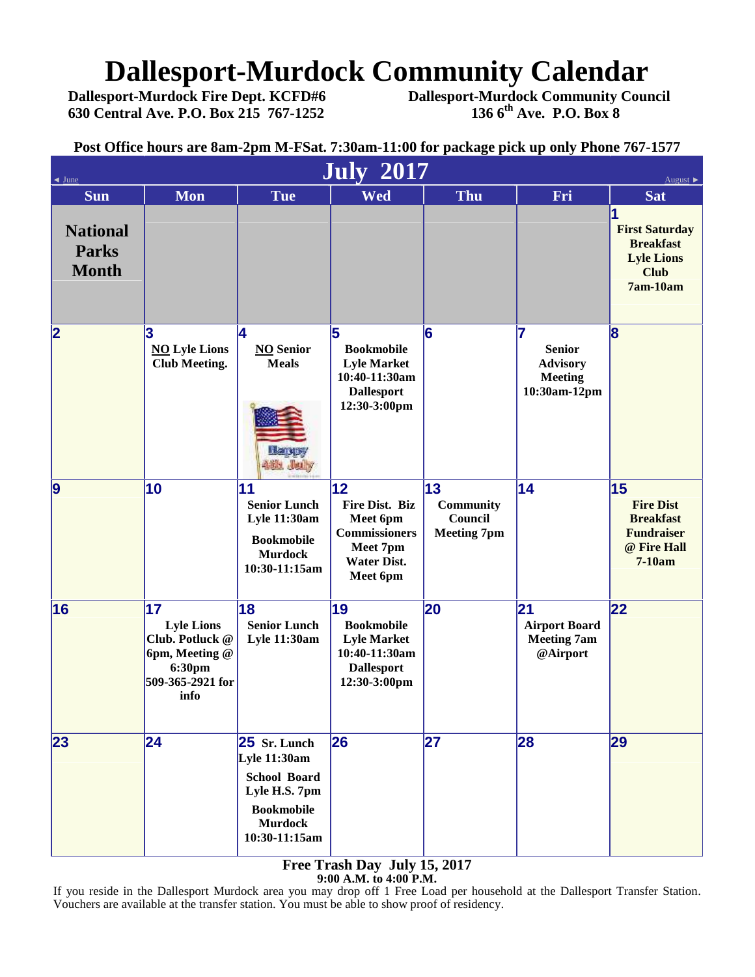# **Dallesport-Murdock Community Calendar**<br>Dallesport-Murdock Fire Dept. KCFD#6 Dallesport-Murdock Community Cour

**Dallesport-Murdock Fire Dept. KCFD#6 Dallesport-Murdock Community Council 630 Central Ave. P.O. Box 215 767-1252 136 6th Ave. P.O. Box 8**

**Post Office hours are 8am-2pm M-FSat. 7:30am-11:00 for package pick up only Phone 767-1577**

| June                                            | August                                                                                             |                                                                                                                                |                                                                                                               |                                                         |                                                                           |                                                                                            |
|-------------------------------------------------|----------------------------------------------------------------------------------------------------|--------------------------------------------------------------------------------------------------------------------------------|---------------------------------------------------------------------------------------------------------------|---------------------------------------------------------|---------------------------------------------------------------------------|--------------------------------------------------------------------------------------------|
| <b>Sun</b>                                      | <b>Mon</b>                                                                                         | <b>Tue</b>                                                                                                                     | <b>July 2017</b><br><b>Wed</b>                                                                                | <b>Thu</b>                                              | Fri                                                                       | <b>Sat</b>                                                                                 |
| <b>National</b><br><b>Parks</b><br><b>Month</b> |                                                                                                    |                                                                                                                                |                                                                                                               |                                                         |                                                                           | <b>First Saturday</b><br><b>Breakfast</b><br><b>Lyle Lions</b><br><b>Club</b><br>7am-10am  |
| 2                                               | 3<br><b>NO</b> Lyle Lions<br><b>Club Meeting.</b>                                                  | 4<br><b>NO</b> Senior<br><b>Meals</b><br><b>Harvey</b><br><b>481. July</b>                                                     | 5<br><b>Bookmobile</b><br><b>Lyle Market</b><br>10:40-11:30am<br><b>Dallesport</b><br>12:30-3:00pm            | 6                                                       | 7<br><b>Senior</b><br><b>Advisory</b><br><b>Meeting</b><br>10:30am-12pm   | $\overline{\mathbf{8}}$                                                                    |
| 9                                               | 10                                                                                                 | 11<br><b>Senior Lunch</b><br><b>Lyle 11:30am</b><br><b>Bookmobile</b><br><b>Murdock</b><br>10:30-11:15am                       | 12<br><b>Fire Dist. Biz</b><br>Meet 6pm<br><b>Commissioners</b><br>Meet 7pm<br><b>Water Dist.</b><br>Meet 6pm | 13<br><b>Community</b><br>Council<br><b>Meeting 7pm</b> | 14                                                                        | 15<br><b>Fire Dist</b><br><b>Breakfast</b><br><b>Fundraiser</b><br>@ Fire Hall<br>$7-10am$ |
| 16                                              | 17<br><b>Lyle Lions</b><br>Club. Potluck @<br>6pm, Meeting @<br>6:30pm<br>509-365-2921 for<br>info | 18<br><b>Senior Lunch</b><br><b>Lyle 11:30am</b>                                                                               | 19<br><b>Bookmobile</b><br><b>Lyle Market</b><br>10:40-11:30am<br><b>Dallesport</b><br>12:30-3:00pm           | 20                                                      | $\overline{21}$<br><b>Airport Board</b><br><b>Meeting 7am</b><br>@Airport | 22                                                                                         |
| 23                                              | 24                                                                                                 | $25$ Sr. Lunch<br>Lyle 11:30am<br><b>School Board</b><br>Lyle H.S. 7pm<br><b>Bookmobile</b><br><b>Murdock</b><br>10:30-11:15am | 26                                                                                                            | 27                                                      | 28                                                                        | 29                                                                                         |

**Free Trash Day July 15, 2017 9:00 A.M. to 4:00 P.M.**

If you reside in the Dallesport Murdock area you may drop off 1 Free Load per household at the Dallesport Transfer Station. Vouchers are available at the transfer station. You must be able to show proof of residency.